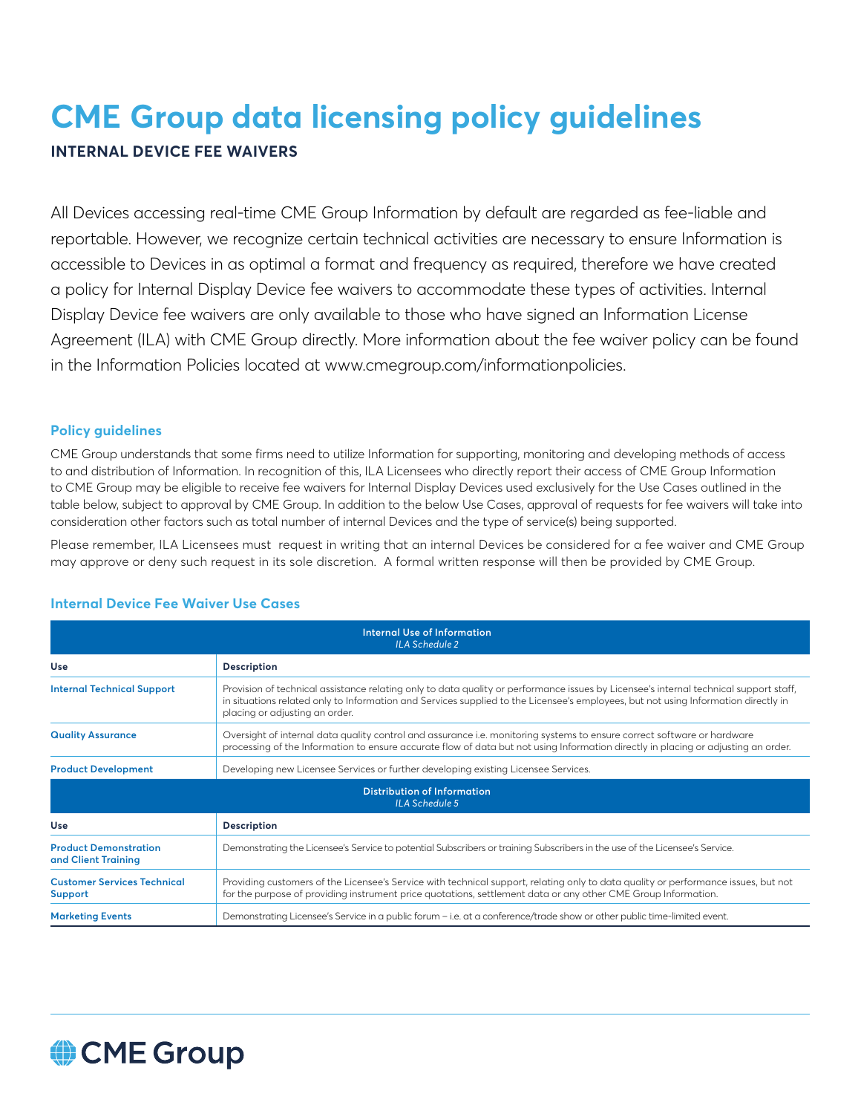# **CME Group data licensing policy guidelines**

# **INTERNAL DEVICE FEE WAIVERS**

All Devices accessing real-time CME Group Information by default are regarded as fee-liable and reportable. However, we recognize certain technical activities are necessary to ensure Information is accessible to Devices in as optimal a format and frequency as required, therefore we have created a policy for Internal Display Device fee waivers to accommodate these types of activities. Internal Display Device fee waivers are only available to those who have signed an Information License Agreement (ILA) with CME Group directly. More information about the fee waiver policy can be found in the Information Policies located at www.cmegroup.com/informationpolicies.

## **Policy guidelines**

CME Group understands that some firms need to utilize Information for supporting, monitoring and developing methods of access to and distribution of Information. In recognition of this, ILA Licensees who directly report their access of CME Group Information to CME Group may be eligible to receive fee waivers for Internal Display Devices used exclusively for the Use Cases outlined in the table below, subject to approval by CME Group. In addition to the below Use Cases, approval of requests for fee waivers will take into consideration other factors such as total number of internal Devices and the type of service(s) being supported.

Please remember, ILA Licensees must request in writing that an internal Devices be considered for a fee waiver and CME Group may approve or deny such request in its sole discretion. A formal written response will then be provided by CME Group.

| Internal Use of Information<br><b>ILA Schedule 2</b>        |                                                                                                                                                                                                                                                                                                               |
|-------------------------------------------------------------|---------------------------------------------------------------------------------------------------------------------------------------------------------------------------------------------------------------------------------------------------------------------------------------------------------------|
| Use                                                         | <b>Description</b>                                                                                                                                                                                                                                                                                            |
| <b>Internal Technical Support</b>                           | Provision of technical assistance relating only to data quality or performance issues by Licensee's internal technical support staff,<br>in situations related only to Information and Services supplied to the Licensee's employees, but not using Information directly in<br>placing or adjusting an order. |
| <b>Quality Assurance</b>                                    | Oversight of internal data quality control and assurance i.e. monitoring systems to ensure correct software or hardware<br>processing of the Information to ensure accurate flow of data but not using Information directly in placing or adjusting an order.                                                 |
| <b>Product Development</b>                                  | Developing new Licensee Services or further developing existing Licensee Services.                                                                                                                                                                                                                            |
| <b>Distribution of Information</b><br><b>ILA Schedule 5</b> |                                                                                                                                                                                                                                                                                                               |
| Use                                                         | <b>Description</b>                                                                                                                                                                                                                                                                                            |
| <b>Product Demonstration</b><br>and Client Training         | Demonstrating the Licensee's Service to potential Subscribers or training Subscribers in the use of the Licensee's Service.                                                                                                                                                                                   |
| <b>Customer Services Technical</b><br><b>Support</b>        | Providing customers of the Licensee's Service with technical support, relating only to data quality or performance issues, but not<br>for the purpose of providing instrument price quotations, settlement data or any other CME Group Information.                                                           |
| <b>Marketing Events</b>                                     | Demonstrating Licensee's Service in a public forum - i.e. at a conference/trade show or other public time-limited event.                                                                                                                                                                                      |

# **Internal Device Fee Waiver Use Cases**

# CME Group